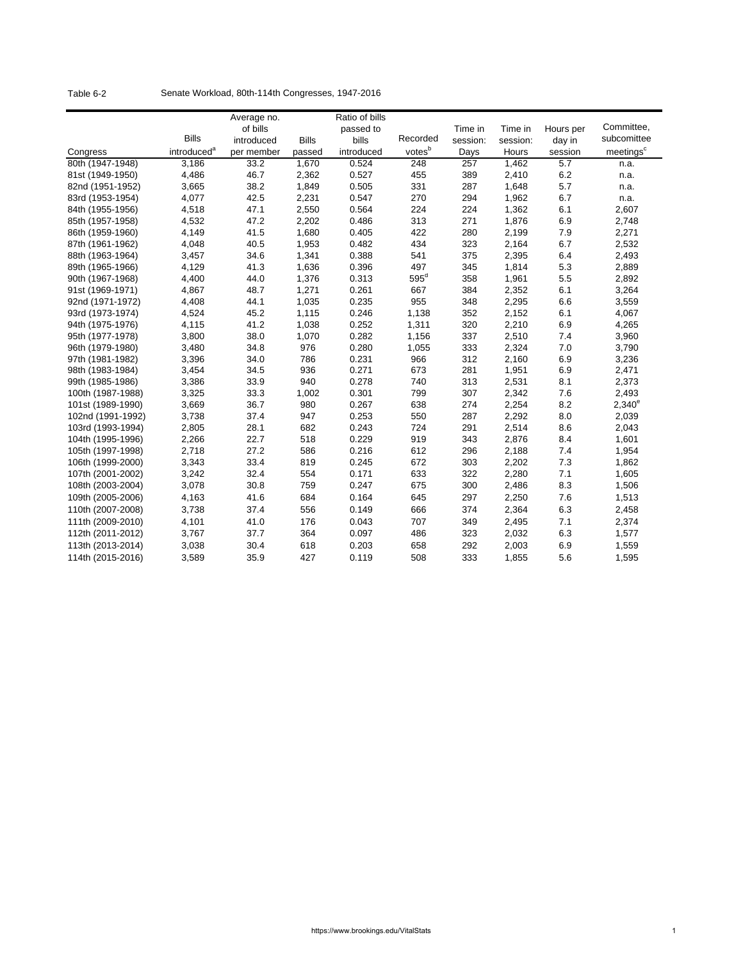| Table 6-2 |  | Senate Workload, 80th-114th Congresses, 1947-2016 |  |
|-----------|--|---------------------------------------------------|--|
|-----------|--|---------------------------------------------------|--|

|                                        |                         | Average no.<br>of bills |              | Ratio of bills     |                  | Time in  | Time in        |                   | Committee,            |
|----------------------------------------|-------------------------|-------------------------|--------------|--------------------|------------------|----------|----------------|-------------------|-----------------------|
|                                        | <b>Bills</b>            | introduced              | <b>Bills</b> | passed to<br>bills | Recorded         | session: | session:       | Hours per         | subcomittee           |
| Congress                               | introduced <sup>a</sup> | per member              | passed       | introduced         | votesb           | Days     | Hours          | day in<br>session | meetings <sup>c</sup> |
| 80th (1947-1948)                       | 3,186                   | 33.2                    | 1,670        | 0.524              | $\overline{248}$ | 257      | 1,462          | $\overline{5.7}$  |                       |
| 81st (1949-1950)                       | 4,486                   | 46.7                    | 2,362        | 0.527              | 455              | 389      | 2,410          | 6.2               | n.a.<br>n.a.          |
| 82nd (1951-1952)                       | 3,665                   | 38.2                    | 1,849        | 0.505              | 331              | 287      | 1,648          | 5.7               |                       |
| 83rd (1953-1954)                       | 4,077                   | 42.5                    | 2,231        | 0.547              | 270              | 294      | 1,962          | 6.7               | n.a.<br>n.a.          |
| 84th (1955-1956)                       | 4,518                   | 47.1                    | 2,550        | 0.564              | 224              | 224      | 1,362          | 6.1               | 2,607                 |
| 85th (1957-1958)                       | 4,532                   | 47.2                    | 2,202        | 0.486              | 313              | 271      | 1,876          | 6.9               | 2,748                 |
| 86th (1959-1960)                       | 4,149                   | 41.5                    | 1,680        | 0.405              | 422              | 280      | 2,199          | 7.9               | 2,271                 |
| 87th (1961-1962)                       | 4,048                   | 40.5                    | 1,953        | 0.482              | 434              | 323      | 2,164          | 6.7               | 2,532                 |
| 88th (1963-1964)                       | 3,457                   | 34.6                    | 1,341        | 0.388              | 541              | 375      | 2,395          | 6.4               | 2,493                 |
| 89th (1965-1966)                       | 4,129                   | 41.3                    | 1,636        | 0.396              | 497              | 345      | 1,814          | 5.3               | 2,889                 |
| 90th (1967-1968)                       | 4,400                   | 44.0                    | 1,376        | 0.313              | $595^{\circ}$    | 358      | 1,961          | 5.5               | 2,892                 |
| 91st (1969-1971)                       | 4,867                   | 48.7                    | 1,271        | 0.261              | 667              | 384      | 2,352          | 6.1               | 3,264                 |
| 92nd (1971-1972)                       | 4,408                   | 44.1                    | 1,035        | 0.235              | 955              | 348      | 2,295          | 6.6               | 3,559                 |
| 93rd (1973-1974)                       | 4,524                   | 45.2                    | 1,115        | 0.246              |                  | 352      |                | 6.1               |                       |
| 94th (1975-1976)                       | 4,115                   | 41.2                    | 1,038        | 0.252              | 1,138<br>1,311   | 320      | 2,152<br>2,210 | 6.9               | 4,067<br>4,265        |
|                                        | 3,800                   | 38.0                    | 1,070        | 0.282              | 1,156            | 337      | 2,510          | 7.4               |                       |
| 95th (1977-1978)                       | 3,480                   | 34.8                    | 976          | 0.280              | 1,055            | 333      | 2,324          | 7.0               | 3,960<br>3,790        |
| 96th (1979-1980)<br>97th (1981-1982)   | 3,396                   | 34.0                    | 786          | 0.231              | 966              | 312      | 2,160          | 6.9               | 3,236                 |
|                                        | 3,454                   | 34.5                    | 936          | 0.271              | 673              | 281      | 1,951          |                   |                       |
| 98th (1983-1984)<br>99th (1985-1986)   | 3,386                   | 33.9                    | 940          | 0.278              | 740              | 313      |                | 6.9<br>8.1        | 2,471<br>2,373        |
| 100th (1987-1988)                      | 3,325                   | 33.3                    | 1,002        | 0.301              | 799              | 307      | 2,531<br>2,342 | 7.6               | 2,493                 |
| 101st (1989-1990)                      | 3,669                   | 36.7                    | 980          | 0.267              | 638              | 274      | 2,254          | 8.2               | $2,340^e$             |
| 102nd (1991-1992)                      | 3,738                   | 37.4                    | 947          | 0.253              | 550              | 287      | 2,292          | 8.0               | 2,039                 |
|                                        | 2,805                   | 28.1                    | 682          | 0.243              | 724              | 291      | 2,514          | 8.6               | 2,043                 |
| 103rd (1993-1994)<br>104th (1995-1996) | 2,266                   | 22.7                    | 518          | 0.229              | 919              | 343      | 2,876          | 8.4               | 1,601                 |
| 105th (1997-1998)                      | 2,718                   | 27.2                    | 586          | 0.216              | 612              | 296      | 2,188          | 7.4               | 1,954                 |
| 106th (1999-2000)                      | 3,343                   | 33.4                    | 819          | 0.245              | 672              | 303      | 2,202          | 7.3               | 1,862                 |
| 107th (2001-2002)                      | 3,242                   | 32.4                    | 554          | 0.171              | 633              | 322      | 2,280          | 7.1               | 1,605                 |
| 108th (2003-2004)                      | 3,078                   | 30.8                    | 759          | 0.247              | 675              | 300      | 2,486          | 8.3               | 1,506                 |
|                                        |                         |                         |              |                    |                  |          |                |                   |                       |
| 109th (2005-2006)                      | 4,163                   | 41.6                    | 684          | 0.164              | 645              | 297      | 2,250          | 7.6               | 1,513                 |
| 110th (2007-2008)                      | 3,738                   | 37.4                    | 556          | 0.149              | 666              | 374      | 2,364          | 6.3               | 2,458                 |
| 111th (2009-2010)                      | 4,101                   | 41.0                    | 176          | 0.043              | 707              | 349      | 2,495          | 7.1               | 2,374                 |
| 112th (2011-2012)                      | 3,767                   | 37.7                    | 364          | 0.097              | 486              | 323      | 2,032          | 6.3               | 1,577                 |
| 113th (2013-2014)                      | 3,038                   | 30.4                    | 618          | 0.203              | 658              | 292      | 2,003          | 6.9               | 1,559                 |
| 114th (2015-2016)                      | 3,589                   | 35.9                    | 427          | 0.119              | 508              | 333      | 1,855          | 5.6               | 1,595                 |